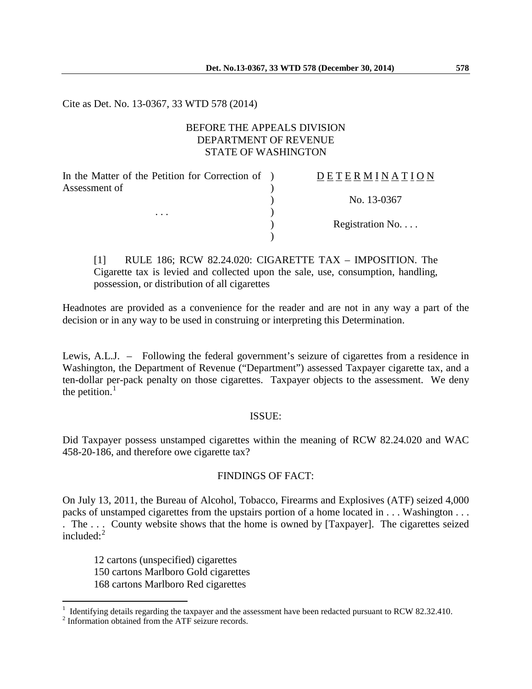Cite as Det. No. 13-0367, 33 WTD 578 (2014)

# BEFORE THE APPEALS DIVISION DEPARTMENT OF REVENUE STATE OF WASHINGTON

 $\lambda$ 

)

In the Matter of the Petition for Correction of ) Assessment of

. . .  $\qquad \qquad$  )

D E T E R M I N A T I O N ) No. 13-0367

) Registration No. . . .

[1] RULE 186; RCW 82.24.020: CIGARETTE TAX – IMPOSITION. The Cigarette tax is levied and collected upon the sale, use, consumption, handling, possession, or distribution of all cigarettes

Headnotes are provided as a convenience for the reader and are not in any way a part of the decision or in any way to be used in construing or interpreting this Determination.

Lewis, A.L.J. – Following the federal government's seizure of cigarettes from a residence in Washington, the Department of Revenue ("Department") assessed Taxpayer cigarette tax, and a ten-dollar per-pack penalty on those cigarettes. Taxpayer objects to the assessment. We deny the petition. $<sup>1</sup>$  $<sup>1</sup>$  $<sup>1</sup>$ </sup>

#### ISSUE:

Did Taxpayer possess unstamped cigarettes within the meaning of RCW 82.24.020 and WAC 458-20-186, and therefore owe cigarette tax?

## FINDINGS OF FACT:

On July 13, 2011, the Bureau of Alcohol, Tobacco, Firearms and Explosives (ATF) seized 4,000 packs of unstamped cigarettes from the upstairs portion of a home located in . . . Washington . . . . The . . . County website shows that the home is owned by [Taxpayer]. The cigarettes seized included: $2$ 

12 cartons (unspecified) cigarettes 150 cartons Marlboro Gold cigarettes 168 cartons Marlboro Red cigarettes

 $\overline{a}$ 

<span id="page-0-0"></span><sup>&</sup>lt;sup>1</sup> Identifying details regarding the taxpayer and the assessment have been redacted pursuant to RCW 82.32.410.<br><sup>2</sup> Information obtained from the ATF seizure records.

<span id="page-0-1"></span>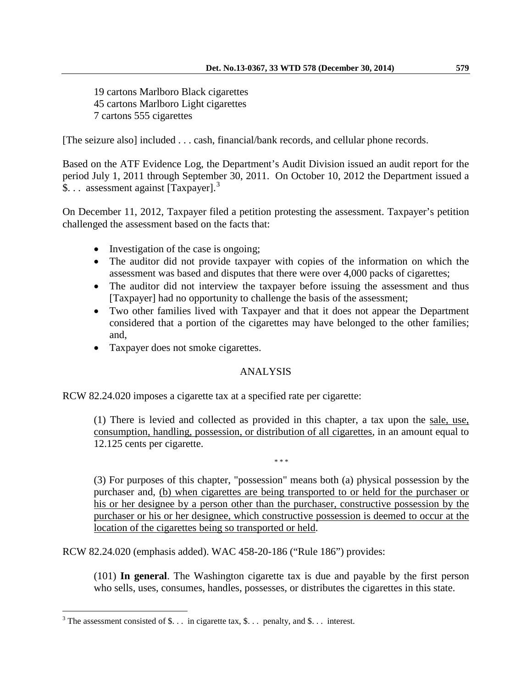19 cartons Marlboro Black cigarettes 45 cartons Marlboro Light cigarettes 7 cartons 555 cigarettes

[The seizure also] included . . . cash, financial/bank records, and cellular phone records.

Based on the ATF Evidence Log, the Department's Audit Division issued an audit report for the period July 1, 2011 through September 30, 2011. On October 10, 2012 the Department issued a \$... assessment against [Taxpayer].<sup>[3](#page-1-0)</sup>

On December 11, 2012, Taxpayer filed a petition protesting the assessment. Taxpayer's petition challenged the assessment based on the facts that:

- Investigation of the case is ongoing;
- The auditor did not provide taxpayer with copies of the information on which the assessment was based and disputes that there were over 4,000 packs of cigarettes;
- The auditor did not interview the taxpayer before issuing the assessment and thus [Taxpayer] had no opportunity to challenge the basis of the assessment;
- Two other families lived with Taxpayer and that it does not appear the Department considered that a portion of the cigarettes may have belonged to the other families; and,
- Taxpayer does not smoke cigarettes.

## ANALYSIS

RCW 82.24.020 imposes a cigarette tax at a specified rate per cigarette:

(1) There is levied and collected as provided in this chapter, a tax upon the sale, use, consumption, handling, possession, or distribution of all cigarettes, in an amount equal to 12.125 cents per cigarette.

\* \* \*

(3) For purposes of this chapter, "possession" means both (a) physical possession by the purchaser and, (b) when cigarettes are being transported to or held for the purchaser or his or her designee by a person other than the purchaser, constructive possession by the purchaser or his or her designee, which constructive possession is deemed to occur at the location of the cigarettes being so transported or held.

RCW 82.24.020 (emphasis added). WAC 458-20-186 ("Rule 186") provides:

(101) **In general**. The Washington cigarette tax is due and payable by the first person who sells, uses, consumes, handles, possesses, or distributes the cigarettes in this state.

 $\overline{a}$ 

<span id="page-1-0"></span><sup>&</sup>lt;sup>3</sup> The assessment consisted of \$... in cigarette tax, \$... penalty, and \$... interest.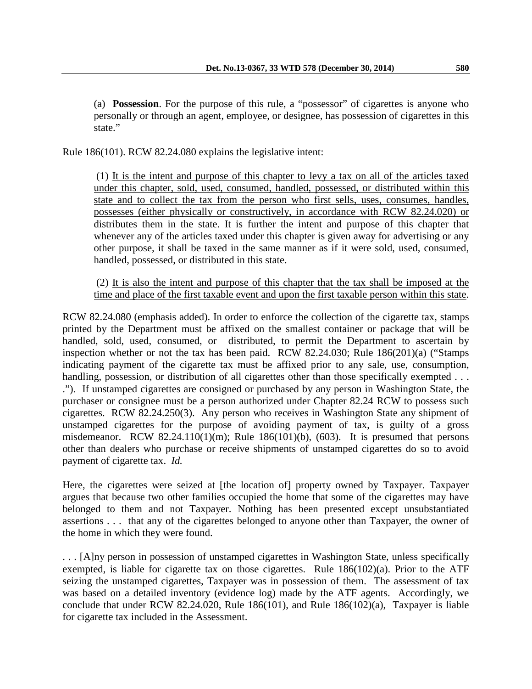(a) **Possession**. For the purpose of this rule, a "possessor" of cigarettes is anyone who personally or through an agent, employee, or designee, has possession of cigarettes in this state."

Rule 186(101). RCW 82.24.080 explains the legislative intent:

(1) It is the intent and purpose of this chapter to levy a tax on all of the articles taxed under this chapter, sold, used, consumed, handled, possessed, or distributed within this state and to collect the tax from the person who first sells, uses, consumes, handles, possesses (either physically or constructively, in accordance with RCW 82.24.020) or distributes them in the state. It is further the intent and purpose of this chapter that whenever any of the articles taxed under this chapter is given away for advertising or any other purpose, it shall be taxed in the same manner as if it were sold, used, consumed, handled, possessed, or distributed in this state.

(2) It is also the intent and purpose of this chapter that the tax shall be imposed at the time and place of the first taxable event and upon the first taxable person within this state.

RCW 82.24.080 (emphasis added). In order to enforce the collection of the cigarette tax, stamps printed by the Department must be affixed on the smallest container or package that will be handled, sold, used, consumed, or distributed, to permit the Department to ascertain by inspection whether or not the tax has been paid. RCW 82.24.030; Rule 186(201)(a) ("Stamps indicating payment of the cigarette tax must be affixed prior to any sale, use, consumption, handling, possession, or distribution of all cigarettes other than those specifically exempted . . . ."). If unstamped cigarettes are consigned or purchased by any person in Washington State, the purchaser or consignee must be a person authorized under Chapter 82.24 RCW to possess such cigarettes. RCW 82.24.250(3). Any person who receives in Washington State any shipment of unstamped cigarettes for the purpose of avoiding payment of tax, is guilty of a gross misdemeanor. RCW 82.24.110(1)(m); Rule  $186(101)(b)$ , (603). It is presumed that persons other than dealers who purchase or receive shipments of unstamped cigarettes do so to avoid payment of cigarette tax. *Id.*

Here, the cigarettes were seized at [the location of] property owned by Taxpayer. Taxpayer argues that because two other families occupied the home that some of the cigarettes may have belonged to them and not Taxpayer. Nothing has been presented except unsubstantiated assertions . . . that any of the cigarettes belonged to anyone other than Taxpayer, the owner of the home in which they were found.

. . . [A]ny person in possession of unstamped cigarettes in Washington State, unless specifically exempted, is liable for cigarette tax on those cigarettes. Rule  $186(102)(a)$ . Prior to the ATF seizing the unstamped cigarettes, Taxpayer was in possession of them. The assessment of tax was based on a detailed inventory (evidence log) made by the ATF agents. Accordingly, we conclude that under RCW 82.24.020, Rule 186(101), and Rule 186(102)(a), Taxpayer is liable for cigarette tax included in the Assessment.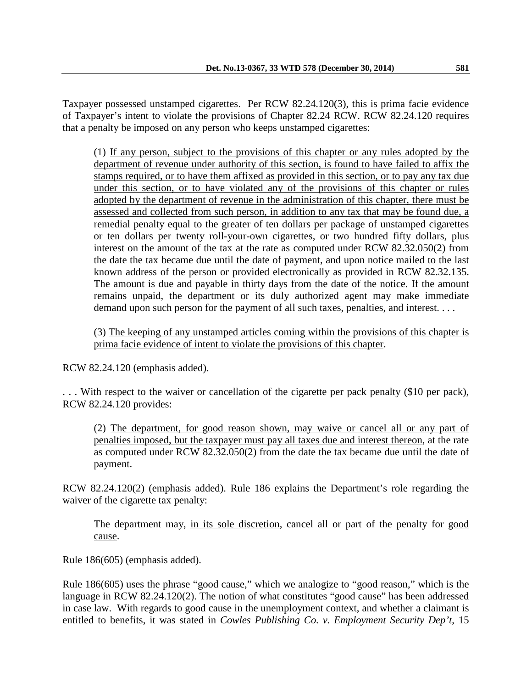Taxpayer possessed unstamped cigarettes. Per RCW 82.24.120(3), this is prima facie evidence of Taxpayer's intent to violate the provisions of Chapter 82.24 RCW. RCW 82.24.120 requires that a penalty be imposed on any person who keeps unstamped cigarettes:

(1) If any person, subject to the provisions of this chapter or any rules adopted by the department of revenue under authority of this section, is found to have failed to affix the stamps required, or to have them affixed as provided in this section, or to pay any tax due under this section, or to have violated any of the provisions of this chapter or rules adopted by the department of revenue in the administration of this chapter, there must be assessed and collected from such person, in addition to any tax that may be found due, a remedial penalty equal to the greater of ten dollars per package of unstamped cigarettes or ten dollars per twenty roll-your-own cigarettes, or two hundred fifty dollars, plus interest on the amount of the tax at the rate as computed under RCW 82.32.050(2) from the date the tax became due until the date of payment, and upon notice mailed to the last known address of the person or provided electronically as provided in RCW 82.32.135. The amount is due and payable in thirty days from the date of the notice. If the amount remains unpaid, the department or its duly authorized agent may make immediate demand upon such person for the payment of all such taxes, penalties, and interest. . . .

(3) The keeping of any unstamped articles coming within the provisions of this chapter is prima facie evidence of intent to violate the provisions of this chapter.

RCW 82.24.120 (emphasis added).

. . . With respect to the waiver or cancellation of the cigarette per pack penalty (\$10 per pack), RCW 82.24.120 provides:

(2) The department, for good reason shown, may waive or cancel all or any part of penalties imposed, but the taxpayer must pay all taxes due and interest thereon, at the rate as computed under RCW 82.32.050(2) from the date the tax became due until the date of payment.

RCW 82.24.120(2) (emphasis added). Rule 186 explains the Department's role regarding the waiver of the cigarette tax penalty:

The department may, in its sole discretion, cancel all or part of the penalty for good cause.

Rule 186(605) (emphasis added).

Rule 186(605) uses the phrase "good cause," which we analogize to "good reason," which is the language in RCW 82.24.120(2). The notion of what constitutes "good cause" has been addressed in case law. With regards to good cause in the unemployment context, and whether a claimant is entitled to benefits, it was stated in *Cowles Publishing Co. v. Employment Security Dep't*, 15